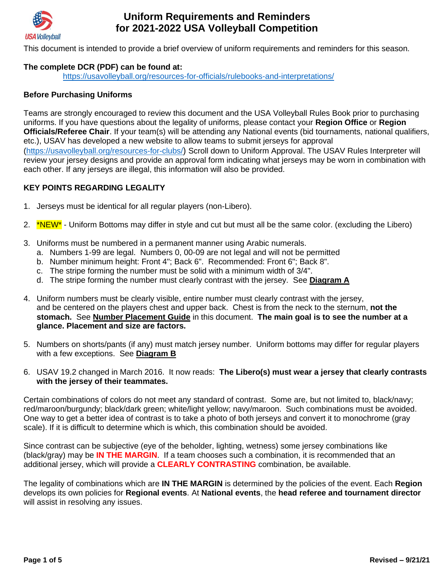

This document is intended to provide a brief overview of uniform requirements and reminders for this season.

#### **The complete DCR (PDF) can be found at:**

<https://usavolleyball.org/resources-for-officials/rulebooks-and-interpretations/>

#### **Before Purchasing Uniforms**

Teams are strongly encouraged to review this document and the USA Volleyball Rules Book prior to purchasing uniforms. If you have questions about the legality of uniforms, please contact your **Region Office** or **Region Officials/Referee Chair**. If your team(s) will be attending any National events (bid tournaments, national qualifiers, etc.), USAV has developed a new website to allow teams to submit jerseys for approval [\(https://usavolleyball.org/resources-for-clubs/](https://usavolleyball.org/resources-for-clubs/)) Scroll down to Uniform Approval. The USAV Rules Interpreter will review your jersey designs and provide an approval form indicating what jerseys may be worn in combination with each other. If any jerseys are illegal, this information will also be provided.

#### **KEY POINTS REGARDING LEGALITY**

- 1. Jerseys must be identical for all regular players (non-Libero).
- 2. \*NEW<sup>\*</sup> Uniform Bottoms may differ in style and cut but must all be the same color. (excluding the Libero)
- 3. Uniforms must be numbered in a permanent manner using Arabic numerals.
	- a. Numbers 1-99 are legal. Numbers 0, 00-09 are not legal and will not be permitted
	- b. Number minimum height: Front 4"; Back 6". Recommended: Front 6"; Back 8".
	- c. The stripe forming the number must be solid with a minimum width of 3/4".
	- d. The stripe forming the number must clearly contrast with the jersey. See **Diagram A**
- 4. Uniform numbers must be clearly visible, entire number must clearly contrast with the jersey, and be centered on the players chest and upper back. Chest is from the neck to the sternum, **not the stomach.** See **Number Placement Guide** in this document. **The main goal is to see the number at a glance. Placement and size are factors.**
- 5. Numbers on shorts/pants (if any) must match jersey number. Uniform bottoms may differ for regular players with a few exceptions. See **Diagram B**
- 6. USAV 19.2 changed in March 2016. It now reads: **The Libero(s) must wear a jersey that clearly contrasts with the jersey of their teammates.**

Certain combinations of colors do not meet any standard of contrast. Some are, but not limited to, black/navy; red/maroon/burgundy; black/dark green; white/light yellow; navy/maroon. Such combinations must be avoided. One way to get a better idea of contrast is to take a photo of both jerseys and convert it to monochrome (gray scale). If it is difficult to determine which is which, this combination should be avoided.

Since contrast can be subjective (eye of the beholder, lighting, wetness) some jersey combinations like (black/gray) may be **IN THE MARGIN**. If a team chooses such a combination, it is recommended that an additional jersey, which will provide a **CLEARLY CONTRASTING** combination, be available.

The legality of combinations which are **IN THE MARGIN** is determined by the policies of the event. Each **Region**  develops its own policies for **Regional events**. At **National events**, the **head referee and tournament director**  will assist in resolving any issues.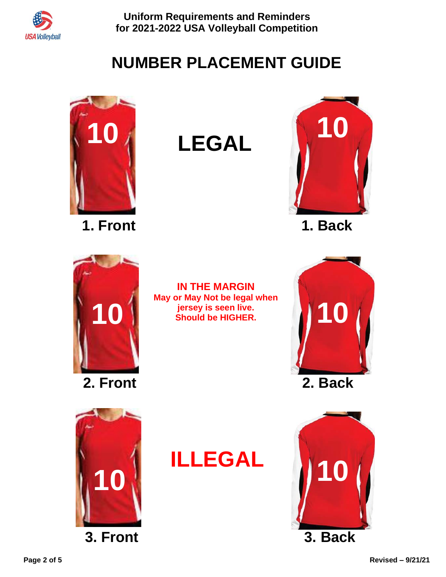

# **NUMBER PLACEMENT GUIDE**



**1. Front 1. Back**



**LEGAL**











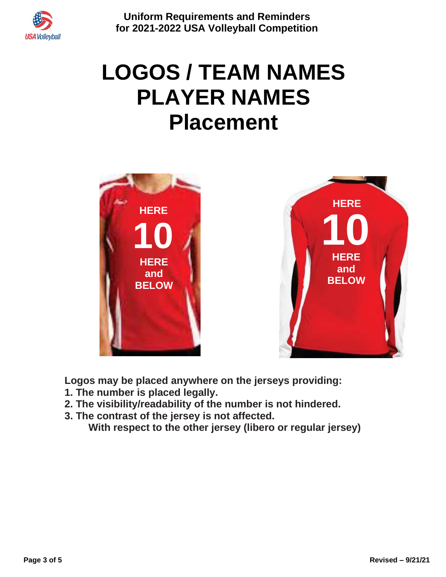

# **LOGOS / TEAM NAMES PLAYER NAMES Placement**



**Logos may be placed anywhere on the jerseys providing:**

- **1. The number is placed legally.**
- **2. The visibility/readability of the number is not hindered.**
- **3. The contrast of the jersey is not affected.**

**With respect to the other jersey (libero or regular jersey)**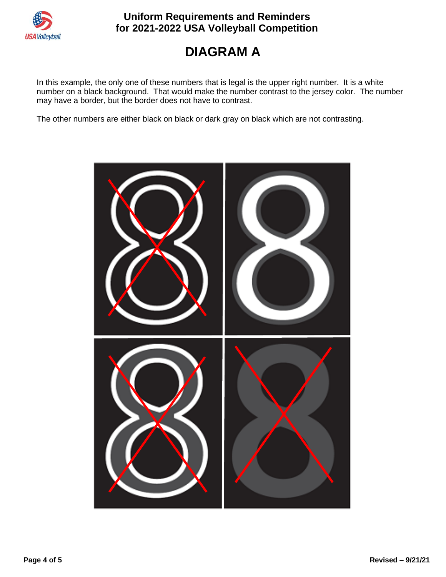

# **DIAGRAM A**

In this example, the only one of these numbers that is legal is the upper right number. It is a white number on a black background. That would make the number contrast to the jersey color. The number may have a border, but the border does not have to contrast.

The other numbers are either black on black or dark gray on black which are not contrasting.